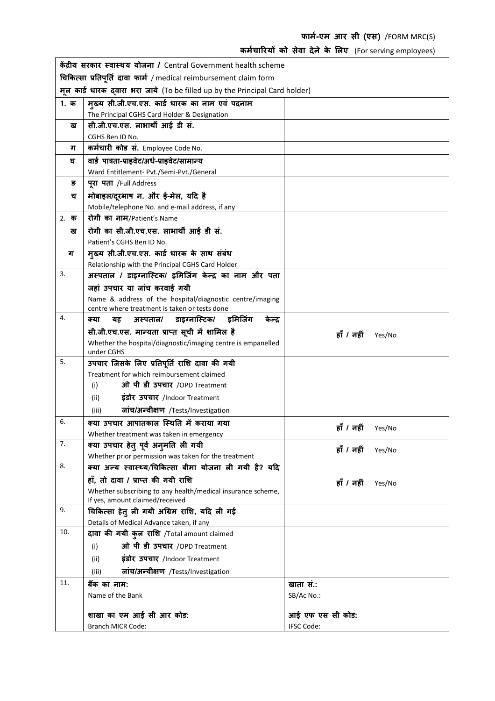| केंद्रीय सरकार स्वास्थय योजना / Central Government health scheme             |                                                                            |                      |  |
|------------------------------------------------------------------------------|----------------------------------------------------------------------------|----------------------|--|
| चिकित्सा प्रतिपूर्ति दावा फार्म / medical reimbursement claim form           |                                                                            |                      |  |
| मूल कार्ड धारक दवारा भरा जाये (To be filled up by the Principal Card holder) |                                                                            |                      |  |
| 1. क                                                                         | मुख्य सी.जी.एच.एस. कार्ड धारक का नाम एवं पदनाम                             |                      |  |
|                                                                              | The Principal CGHS Card Holder & Designation                               |                      |  |
| ख                                                                            | सी.जी.एच.एस. लाभार्थी आई डी सं.                                            |                      |  |
|                                                                              | CGHS Ben ID No.                                                            |                      |  |
| ग                                                                            | कर्मचारी कोड सं. Employee Code No.                                         |                      |  |
| घ                                                                            | वार्ड पात्रता-प्राइवेट/अर्ध-प्राइवेट/सामान्य                               |                      |  |
|                                                                              | Ward Entitlement- Pvt./Semi-Pvt./General                                   |                      |  |
| ङ                                                                            | पूरा पता /Full Address                                                     |                      |  |
| च                                                                            | मोबाइल/दूरभाष न. और ई-मेल, यदि है                                          |                      |  |
|                                                                              | Mobile/telephone No. and e-mail address, if any                            |                      |  |
| 2.क                                                                          | रोगी का नाम/Patient's Name                                                 |                      |  |
| ख                                                                            | रोगी का सी.जी.एच.एस. लाभार्थी आई डी सं.                                    |                      |  |
|                                                                              | Patient's CGHS Ben ID No.                                                  |                      |  |
| ग                                                                            | मुख्य सी.जी.एच.एस. कार्ड धारक के साथ संबंध                                 |                      |  |
|                                                                              | Relationship with the Principal CGHS Card Holder                           |                      |  |
| 3.                                                                           | अस्पताल / डाइग्नास्टिक/ इमिजिंग केन्द्र का नाम और पता                      |                      |  |
|                                                                              | जहां उपचार या जांच करवाई गयी                                               |                      |  |
|                                                                              | Name & address of the hospital/diagnostic centre/imaging                   |                      |  |
| 4.                                                                           | centre where treatment is taken or tests done                              |                      |  |
|                                                                              | डाइग्नास्टिक/<br>इमिजिंग<br>केन्द्र<br>अस्पताल/<br>क्या<br>यह              |                      |  |
|                                                                              | सी.जी.एच.एस. मान्यता प्राप्त सूची में शामिल है                             | हाँ / नहीं<br>Yes/No |  |
|                                                                              | Whether the hospital/diagnostic/imaging centre is empanelled<br>under CGHS |                      |  |
| 5.                                                                           | उपचार जिसके लिए प्रतिपूर्ति राशि दावा की गयी                               |                      |  |
|                                                                              | Treatment for which reimbursement claimed                                  |                      |  |
|                                                                              | ओ पी डी उपचार /OPD Treatment<br>(i)                                        |                      |  |
|                                                                              | इंडोर उपचार /Indoor Treatment<br>(ii)                                      |                      |  |
|                                                                              | जांच/अन्वीक्षण /Tests/Investigation<br>(iii)                               |                      |  |
| 6.                                                                           | क्या उपचार आपातकाल स्थिति में कराया गया                                    |                      |  |
|                                                                              | Whether treatment was taken in emergency                                   | हाँ / नहीं<br>Yes/No |  |
| 7.                                                                           | क्या उपचार हेतु पूर्व अनुमति ली गयी                                        |                      |  |
|                                                                              | Whether prior permission was taken for the treatment                       | हाँ / नहीं<br>Yes/No |  |
| 8.                                                                           | क्या अन्य स्वास्थ्य/चिकित्सा बीमा योजना ली गयी है? यदि                     |                      |  |
|                                                                              | हाँ, तो दावा / प्राप्त की गयी राशि                                         | हाँ / नहीं<br>Yes/No |  |
|                                                                              | Whether subscribing to any health/medical insurance scheme,                |                      |  |
|                                                                              | If yes, amount claimed/received                                            |                      |  |
| 9.                                                                           | चिकित्सा हेतु ली गयी अग्रिम राशि, यदि ली गई                                |                      |  |
|                                                                              | Details of Medical Advance taken, if any                                   |                      |  |
| 10.                                                                          | दावा की गयी कुल राशि /Total amount claimed                                 |                      |  |
|                                                                              | ओ पी डी उपचार /OPD Treatment<br>(i)                                        |                      |  |
|                                                                              | इंडोर उपचार /Indoor Treatment<br>(ii)                                      |                      |  |
|                                                                              | जांच/अन्वीक्षण /Tests/Investigation<br>(iii)                               |                      |  |
| 11.                                                                          | बैंक का नाम:                                                               | खाता सं.:            |  |
|                                                                              | Name of the Bank                                                           | SB/Ac No.:           |  |
|                                                                              |                                                                            |                      |  |
|                                                                              | शाखा का एम आई सी आर कोड:                                                   | आई एफ एस सी कोड:     |  |
|                                                                              | Branch MICR Code:                                                          | <b>IFSC Code:</b>    |  |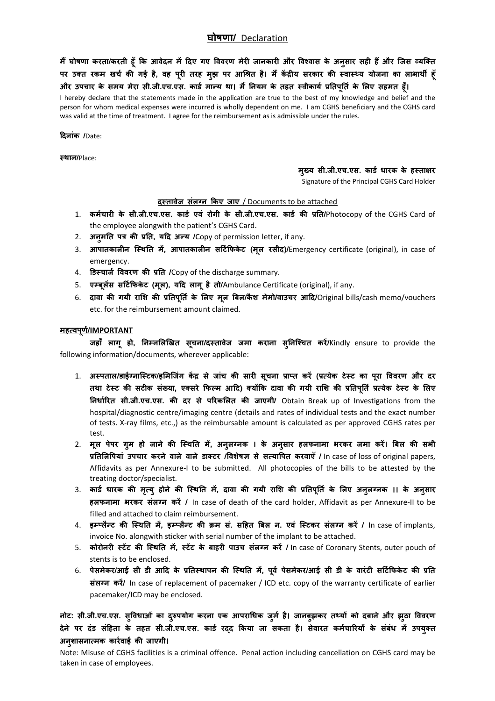## **घोषणा/** Declaration

मैं घोषणा करता/करती हूँ कि आवेदन में दिए गए विवरण मेरी जानकारी और विश्वास के अनुसार सही हैं और जिस व्यक्ति पर उक्त रकम खर्च की गई है, वह पूरी तरह मुझ पर आश्रित है। मैं केंद्रीय सरकार की स्वास्थ्य योजना का लाभार्थी हूँ और उपचार के समय मेरा सी.जी.एच.एस. कार्ड मान्य था। मैं नियम के तहत स्वीकार्य प्रतिपूर्ति के लिए सहमत हूँ।

I hereby declare that the statements made in the application are true to the best of my knowledge and belief and the person for whom medical expenses were incurred is wholly dependent on me. I am CGHS beneficiary and the CGHS card was valid at the time of treatment. I agree for the reimbursement as is admissible under the rules.

**Rदनांक /**Date:

**4थान/**Place:

मुख्य सी.जी.एच.एस. कार्ड धारक के हस्ताक्षर

Signature of the Principal CGHS Card Holder

#### <u>दस्तावेज संलग्न किए जाए / Documents to be attached</u>

- 1. कर्मचारी के सी.जी.एच.एस. कार्ड एवं रोगी के सी.जी.एच.एस. कार्ड की प्रति/Photocopy of the CGHS Card of the employee alongwith the patient's CGHS Card.
- 2. अन्**मति पत्र की प्रति, यदि अन्य /Copy of permission letter, if any.**
- 3. आपातकालीन स्थिति में, आपातकालीन सर्टिफिकेट (मूल रसीद)/Emergency certificate (original), in case of emergency.
- 4. **डिस्चार्ज विवरण की प्रति /Copy of the discharge summary.**
- 5. **एम्बूलेंस सर्टिफिकेट (मूल), यदि लागू है तो/**Ambulance Certificate (original), if any.
- 6. दावा की गयी राशि की प्रतिपूर्ति के लिए मूल बिल/कैश मेमो/वाउचर आदि/Original bills/cash memo/vouchers etc. for the reimbursement amount claimed.

### <u>महत्वपूर्ण/IMPORTANT</u>

**जहाँ लागू हो, निम्नलिखित सुचना/दस्तावेज जमा कराना सुनिश्चित करें/Kindly ensure to provide the** following information/documents, wherever applicable:

- 1. अस्पताल/डाईग्नास्टिक/इमिजिंग केंद्र से जांच की सारी सूचना प्राप्त करें (प्रत्येक टेस्ट का पूरा विवरण और दर तथा टेस्ट की सटीक संख्या, एक्सरे फिल्म आदि) क्योंकि दावा की गयी राशि की प्रतिपूर्ति प्रत्येक टेस्ट के लिए **नधाTरत सी.जी.एच.एस. क दर से पTरक लत क जाएगी/** Obtain Break up of Investigations from the hospital/diagnostic centre/imaging centre (details and rates of individual tests and the exact number of tests. X-ray films, etc.,) as the reimbursable amount is calculated as per approved CGHS rates per test.
- 2. मूल पेपर गुम हो जाने की स्थिति में, अनुलग्नक । के अनुसार हलफनामा भरकर जमा करें। बिल की सभी प्रतिलिपियां उपचार करने वाले वाले डाक्टर /विशेषज्ञ से सत्यापित करवाएँ / In case of loss of original papers, Affidavits as per Annexure-I to be submitted. All photocopies of the bills to be attested by the treating doctor/specialist.
- 3. कार्ड धारक की मृत्यु होने की स्थिति में, दावा की गयी राशि की प्रतिपूर्ति के लिए अनुलग्नक ।। के अनुसार **हलफनामा भरकर संलग्न करें /** In case of death of the card holder, Affidavit as per Annexure-II to be filled and attached to claim reimbursement.
- 4. इम्प्लैन्ट की स्थिति में, इम्प्लैन्ट की क्रम सं. सहित बिल न. एवं स्टिकर संलग्न करें / In case of implants, invoice No. alongwith sticker with serial number of the implant to be attached.
- 5. कोरोनरी स्टेंट की स्थिति में, स्टेंट के बाहरी पाउच संलग्न करें / In case of Coronary Stents, outer pouch of stents is to be enclosed.
- 6. पेसमेकर/आई सी डी आदि के प्रतिस्थापन की स्थिति में, पर्व पेसमेकर/आई सी डी के वारंटी सर्टिफिकेट की प्रति संलग्न करें/ In case of replacement of pacemaker / ICD etc. copy of the warranty certificate of earlier pacemaker/ICD may be enclosed.

## **नोट: सी.जी.एच.एस. सुSवधाओं का दqपयोग करना एक आपरा.धक ज ु ुम है। जानबुझकर तiयA को दबाने और झठा Sववरण ु** देने पर दंड संहिता के तहत सी.जी.एच.एस. कार्ड रदद किया जा सकता है। सेवारत कर्मचारियों के संबंध में उपयुक्त अनुशासनात्मक कार्रवाई की जाएगी।

Note: Misuse of CGHS facilities is a criminal offence. Penal action including cancellation on CGHS card may be taken in case of employees.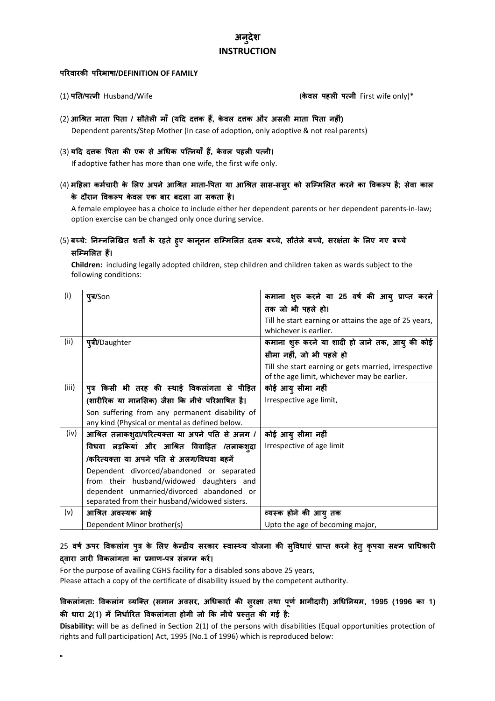# **अनदेशु INSTRUCTION**

### परिवारकी परिभाषा/DEFINITION OF FAMILY

**"**

(1) **पत/पKनी** Husband/Wife (**के वल पहलJ पKनी** First wife only)\*

- (2) आश्रित माता पिता / सौतेली माँ (यदि दत्तक हैं, केवल दत्तक और असली माता पिता नहीं) Dependent parents/Step Mother (In case of adoption, only adoptive & not real parents)
- (3) यदि दत्तक पिता की एक से अधिक पत्नियाँ हैं, केवल पहली पत्नी।

If adoptive father has more than one wife, the first wife only.

(4) **मRहला कमचारJ के लए अपने आ./त माता-Sपता या आ./त सास-ससुर को सिम लत करने का Sवक:प है; सेवा काल के दौरान Sवक:प के वल एक बार बदला जा सकता है।**

A female employee has a choice to include either her dependent parents or her dependent parents-in-law; option exercise can be changed only once during service.

### (5) बच्चे: निम्नलिखित शर्तों के रहते हुए कानूनन सम्मिलित दत्तक बच्चे, सौतेले बच्चे, सरक्षंता के लिए गए बच्चे **सम्मिलित हैं।**

 **Children:** including legally adopted children, step children and children taken as wards subject to the following conditions:

| (i)   | प् <b>त्र/Son</b>                               | कमाना शुरू करने या 25 वर्ष की आयु प्राप्त करने        |
|-------|-------------------------------------------------|-------------------------------------------------------|
|       |                                                 | तक जो भी पहले हो।                                     |
|       |                                                 | Till he start earning or attains the age of 25 years, |
|       |                                                 | whichever is earlier.                                 |
| (ii)  | प् <b>त्री/</b> Daughter                        | कमाना शुरू करने या शादी हो जाने तक, आयु की कोई        |
|       |                                                 | सीमा नहीं, जो भी पहले हो                              |
|       |                                                 | Till she start earning or gets married, irrespective  |
|       |                                                 | of the age limit, whichever may be earlier.           |
| (iii) | पुत्र किसी भी तरह की स्थाई विकलांगता से पीड़ित  | कोई आयु सीमा नहीं                                     |
|       | (शारीरिक या मानसिक) जैसा कि नीचे परिभाषित है।   | Irrespective age limit,                               |
|       | Son suffering from any permanent disability of  |                                                       |
|       | any kind (Physical or mental as defined below.  |                                                       |
| (iv)  | आश्रित तलाकशुदा/परित्यक्ता या अपने पति से अलग / | कोई आयु सीमा नहीं                                     |
|       | विधवा लड़कियां और आश्रित विवाहित /तलाकश्दा      | Irrespective of age limit                             |
|       | /करित्यक्ता या अपने पति से अलग/विधवा बहनें      |                                                       |
|       | Dependent divorced/abandoned or separated       |                                                       |
|       | from their husband/widowed daughters and        |                                                       |
|       | dependent unmarried/divorced abandoned or       |                                                       |
|       | separated from their husband/widowed sisters.   |                                                       |
| (v)   | आश्रित अवस्यक भाई                               | व्यस्क होने की आयु तक                                 |
|       | Dependent Minor brother(s)                      | Upto the age of becoming major,                       |

### 25 वर्ष ऊपर विकलांग पुत्र के लिए केन्द्रीय सरकार स्वास्थ्य योजना की सुविधाएं प्राप्त करने हेतु कृपया सक्ष्म प्राधिकारी दवारा जारी विकलांगता का प्रमाण-पत्र संलग्न करें।

For the purpose of availing CGHS facility for a disabled sons above 25 years, Please attach a copy of the certificate of disability issued by the competent authority.

## विकलांगता: विकलांग व्यक्ति (समान अवसर, अधिकारों की सुरक्षा तथा पूर्ण भागीदारी) अधिनियम, 1995 (1996 का 1) की धारा 2(1) में निर्धारित विकलांगता होगी जो कि नीचे प्रस्तुत की गई है:

**Disability:** will be as defined in Section 2(1) of the persons with disabilities (Equal opportunities protection of rights and full participation) Act, 1995 (No.1 of 1996) which is reproduced below: